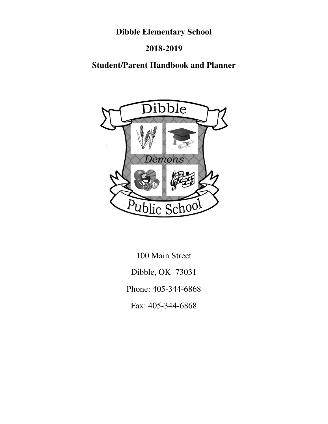# **Dibble Elementary School**

# **2018-2019**

# **Student/Parent Handbook and Planner**



100 Main Street Dibble, OK 73031 Phone: 405-344-6868 Fax: 405-344-6868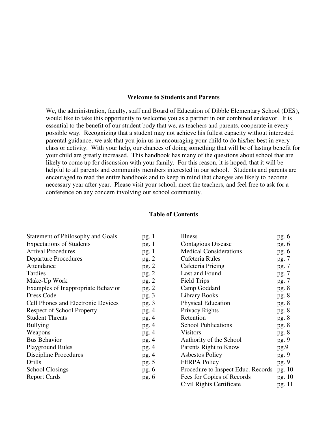## **Welcome to Students and Parents**

We, the administration, faculty, staff and Board of Education of Dibble Elementary School (DES), would like to take this opportunity to welcome you as a partner in our combined endeavor. It is essential to the benefit of our student body that we, as teachers and parents, cooperate in every possible way. Recognizing that a student may not achieve his fullest capacity without interested parental guidance, we ask that you join us in encouraging your child to do his/her best in every class or activity. With your help, our chances of doing something that will be of lasting benefit for your child are greatly increased. This handbook has many of the questions about school that are likely to come up for discussion with your family. For this reason, it is hoped, that it will be helpful to all parents and community members interested in our school. Students and parents are encouraged to read the entire handbook and to keep in mind that changes are likely to become necessary year after year. Please visit your school, meet the teachers, and feel free to ask for a conference on any concern involving our school community.

### **Table of Contents**

| <b>Statement of Philosophy and Goals</b>  | pg.1    | <b>Illness</b>                     | pg. $6$ |
|-------------------------------------------|---------|------------------------------------|---------|
| <b>Expectations of Students</b>           | pg.1    | <b>Contagious Disease</b>          | pg.6    |
| <b>Arrival Procedures</b>                 | pg.1    | <b>Medical Considerations</b>      | pg.6    |
| <b>Departure Procedures</b>               | pg. 2   | Cafeteria Rules                    | pg. 7   |
| Attendance                                | pg.2    | Cafeteria Pricing                  | pg. 7   |
| Tardies                                   | pg.2    | Lost and Found                     | pg. 7   |
| Make-Up Work                              | pg.2    | <b>Field Trips</b>                 | pg. 7   |
| <b>Examples of Inappropriate Behavior</b> | pg.2    | Camp Goddard                       | pg. 8   |
| Dress Code                                | pg.3    | <b>Library Books</b>               | pg. 8   |
| Cell Phones and Electronic Devices        | pg.3    | <b>Physical Education</b>          | pg. 8   |
| <b>Respect of School Property</b>         | pg.4    | Privacy Rights                     | pg. 8   |
| <b>Student Threats</b>                    | pg. $4$ | Retention                          | pg. 8   |
| <b>Bullying</b>                           | pg. $4$ | <b>School Publications</b>         | pg.8    |
| Weapons                                   | pg.4    | <b>Visitors</b>                    | pg. 8   |
| <b>Bus Behavior</b>                       | pg.4    | Authority of the School            | pg.9    |
| <b>Playground Rules</b>                   | pg. $4$ | Parents Right to Know              | pg.9    |
| Discipline Procedures                     | pg. $4$ | <b>Asbestos Policy</b>             | pg.9    |
| Drills                                    | pg. $5$ | <b>FERPA Policy</b>                | pg.9    |
| <b>School Closings</b>                    | pg.6    | Procedure to Inspect Educ. Records | pg. 10  |
| <b>Report Cards</b>                       | pg.6    | Fees for Copies of Records         | pg. 10  |
|                                           |         | Civil Rights Certificate           | pg. 11  |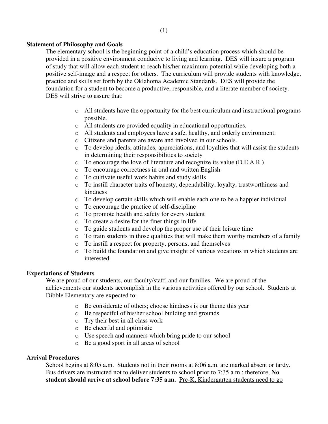# **Statement of Philosophy and Goals**

The elementary school is the beginning point of a child's education process which should be provided in a positive environment conducive to living and learning. DES will insure a program of study that will allow each student to reach his/her maximum potential while developing both a positive self-image and a respect for others. The curriculum will provide students with knowledge, practice and skills set forth by the Oklahoma Academic Standards. DES will provide the foundation for a student to become a productive, responsible, and a literate member of society. DES will strive to assure that:

- o All students have the opportunity for the best curriculum and instructional programs possible.
- o All students are provided equality in educational opportunities.
- o All students and employees have a safe, healthy, and orderly environment.
- o Citizens and parents are aware and involved in our schools.
- o To develop ideals, attitudes, appreciations, and loyalties that will assist the students in determining their responsibilities to society
- o To encourage the love of literature and recognize its value (D.E.A.R.)
- o To encourage correctness in oral and written English
- o To cultivate useful work habits and study skills
- o To instill character traits of honesty, dependability, loyalty, trustworthiness and kindness
- o To develop certain skills which will enable each one to be a happier individual
- o To encourage the practice of self-discipline
- o To promote health and safety for every student
- o To create a desire for the finer things in life
- o To guide students and develop the proper use of their leisure time
- o To train students in those qualities that will make them worthy members of a family
- o To instill a respect for property, persons, and themselves
- o To build the foundation and give insight of various vocations in which students are interested

# **Expectations of Students**

We are proud of our students, our faculty/staff, and our families. We are proud of the achievements our students accomplish in the various activities offered by our school. Students at Dibble Elementary are expected to:

- o Be considerate of others; choose kindness is our theme this year
- o Be respectful of his/her school building and grounds
- o Try their best in all class work
- o Be cheerful and optimistic
- o Use speech and manners which bring pride to our school
- o Be a good sport in all areas of school

# **Arrival Procedures**

School begins at 8:05 a.m. Students not in their rooms at 8:06 a.m. are marked absent or tardy. Bus drivers are instructed not to deliver students to school prior to 7:35 a.m.; therefore, **No student should arrive at school before 7:35 a.m.** Pre-K, Kindergarten students need to go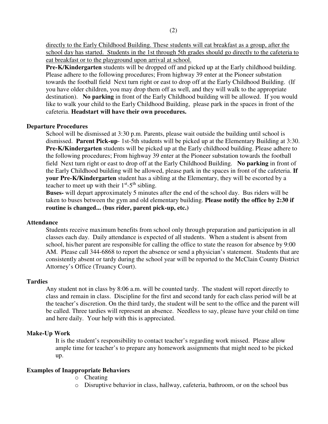directly to the Early Childhood Building. These students will eat breakfast as a group, after the school day has started. Students in the 1st through 5th grades should go directly to the cafeteria to eat breakfast or to the playground upon arrival at school.

**Pre-K/Kindergarten** students will be dropped off and picked up at the Early childhood building. Please adhere to the following procedures; From highway 39 enter at the Pioneer substation towards the football field Next turn right or east to drop off at the Early Childhood Building. (If you have older children, you may drop them off as well, and they will walk to the appropriate destination). **No parking** in front of the Early Childhood building will be allowed. If you would like to walk your child to the Early Childhood Building, please park in the spaces in front of the cafeteria. **Headstart will have their own procedures.** 

## **Departure Procedures**

School will be dismissed at 3:30 p.m. Parents, please wait outside the building until school is dismissed. **Parent Pick-up**- 1st-5th students will be picked up at the Elementary Building at 3:30. **Pre-K/Kindergarten** students will be picked up at the Early childhood building. Please adhere to the following procedures; From highway 39 enter at the Pioneer substation towards the football field Next turn right or east to drop off at the Early Childhood Building. **No parking** in front of the Early Childhood building will be allowed, please park in the spaces in front of the cafeteria. **If your Pre-K/Kindergarten** student has a sibling at the Elementary, they will be escorted by a teacher to meet up with their  $1<sup>st</sup> - 5<sup>th</sup>$  sibling.

**Buses-** will depart approximately 5 minutes after the end of the school day. Bus riders will be taken to buses between the gym and old elementary building. **Please notify the office by 2:30 if routine is changed... (bus rider, parent pick-up, etc.)**

## **Attendance**

Students receive maximum benefits from school only through preparation and participation in all classes each day. Daily attendance is expected of all students. When a student is absent from school, his/her parent are responsible for calling the office to state the reason for absence by 9:00 AM. Please call 344-6868 to report the absence or send a physician's statement. Students that are consistently absent or tardy during the school year will be reported to the McClain County District Attorney's Office (Truancy Court).

## **Tardies**

Any student not in class by 8:06 a.m. will be counted tardy. The student will report directly to class and remain in class. Discipline for the first and second tardy for each class period will be at the teacher's discretion. On the third tardy, the student will be sent to the office and the parent will be called. Three tardies will represent an absence. Needless to say, please have your child on time and here daily. Your help with this is appreciated.

## **Make-Up Work**

It is the student's responsibility to contact teacher's regarding work missed. Please allow ample time for teacher's to prepare any homework assignments that might need to be picked up.

## **Examples of Inappropriate Behaviors**

- o Cheating
- o Disruptive behavior in class, hallway, cafeteria, bathroom, or on the school bus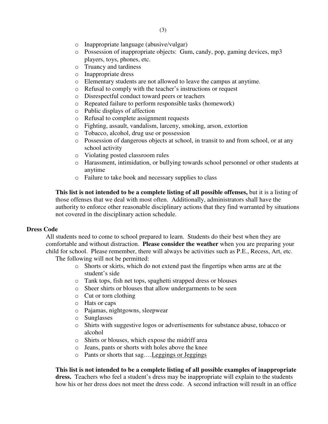- o Inappropriate language (abusive/vulgar)
- o Possession of inappropriate objects: Gum, candy, pop, gaming devices, mp3 players, toys, phones, etc.
- o Truancy and tardiness
- o Inappropriate dress
- o Elementary students are not allowed to leave the campus at anytime.
- o Refusal to comply with the teacher's instructions or request
- o Disrespectful conduct toward peers or teachers
- o Repeated failure to perform responsible tasks (homework)
- o Public displays of affection
- o Refusal to complete assignment requests
- o Fighting, assault, vandalism, larceny, smoking, arson, extortion
- o Tobacco, alcohol, drug use or possession
- o Possession of dangerous objects at school, in transit to and from school, or at any school activity
- o Violating posted classroom rules
- o Harassment, intimidation, or bullying towards school personnel or other students at anytime
- o Failure to take book and necessary supplies to class

**This list is not intended to be a complete listing of all possible offenses,** but it is a listing of those offenses that we deal with most often. Additionally, administrators shall have the authority to enforce other reasonable disciplinary actions that they find warranted by situations not covered in the disciplinary action schedule.

## **Dress Code**

All students need to come to school prepared to learn. Students do their best when they are comfortable and without distraction. **Please consider the weather** when you are preparing your child for school. Please remember, there will always be activities such as P.E., Recess, Art, etc. The following will not be permitted:

- o Shorts or skirts, which do not extend past the fingertips when arms are at the student's side
- o Tank tops, fish net tops, spaghetti strapped dress or blouses
- o Sheer shirts or blouses that allow undergarments to be seen
- o Cut or torn clothing
- o Hats or caps
- o Pajamas, nightgowns, sleepwear
- o Sunglasses
- o Shirts with suggestive logos or advertisements for substance abuse, tobacco or alcohol
- o Shirts or blouses, which expose the midriff area
- o Jeans, pants or shorts with holes above the knee
- o Pants or shorts that sag….Leggings or Jeggings

**This list is not intended to be a complete listing of all possible examples of inappropriate** 

**dress.** Teachers who feel a student's dress may be inappropriate will explain to the students how his or her dress does not meet the dress code. A second infraction will result in an office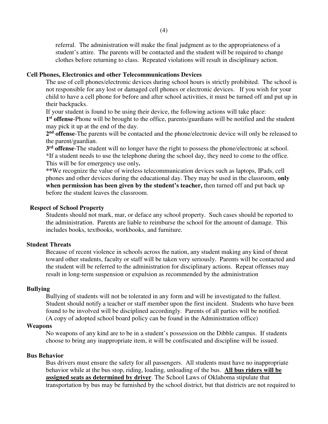referral. The administration will make the final judgment as to the appropriateness of a student's attire. The parents will be contacted and the student will be required to change clothes before returning to class. Repeated violations will result in disciplinary action.

## **Cell Phones, Electronics and other Telecommunications Devices**

The use of cell phones/electronic devices during school hours is strictly prohibited. The school is not responsible for any lost or damaged cell phones or electronic devices. If you wish for your child to have a cell phone for before and after school activities, it must be turned off and put up in their backpacks.

If your student is found to be using their device, the following actions will take place:

**1 st offense**-Phone will be brought to the office, parents/guardians will be notified and the student may pick it up at the end of the day.

2<sup>nd</sup> offense-The parents will be contacted and the phone/electronic device will only be released to the parent/guardian.

**3 rd offense**-The student will no longer have the right to possess the phone/electronic at school. \*If a student needs to use the telephone during the school day, they need to come to the office. This will be for emergency use only**.** 

**\*\***We recognize the value of wireless telecommunication devices such as laptops, IPads, cell phones and other devices during the educational day. They may be used in the classroom, **only when permission has been given by the student's teacher,** then turned off and put back up before the student leaves the classroom.

## **Respect of School Property**

Students should not mark, mar, or deface any school property. Such cases should be reported to the administration. Parents are liable to reimburse the school for the amount of damage. This includes books, textbooks, workbooks, and furniture.

## **Student Threats**

Because of recent violence in schools across the nation, any student making any kind of threat toward other students, faculty or staff will be taken very seriously. Parents will be contacted and the student will be referred to the administration for disciplinary actions. Repeat offenses may result in long-term suspension or expulsion as recommended by the administration

## **Bullying**

Bullying of students will not be tolerated in any form and will be investigated to the fullest. Student should notify a teacher or staff member upon the first incident. Students who have been found to be involved will be disciplined accordingly. Parents of all parties will be notified. (A copy of adopted school board policy can be found in the Administration office)

#### **Weapons**

No weapons of any kind are to be in a student's possession on the Dibble campus. If students choose to bring any inappropriate item, it will be confiscated and discipline will be issued.

## **Bus Behavior**

Bus drivers must ensure the safety for all passengers. All students must have no inappropriate behavior while at the bus stop, riding, loading, unloading of the bus. **All bus riders will be assigned seats as determined by driver**. The School Laws of Oklahoma stipulate that transportation by bus may be furnished by the school district, but that districts are not required to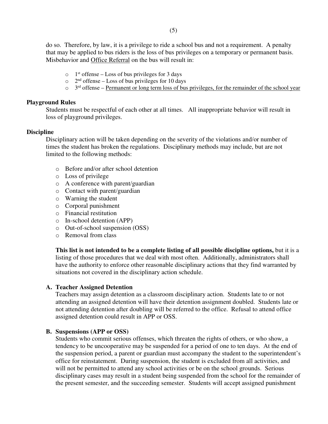do so. Therefore, by law, it is a privilege to ride a school bus and not a requirement. A penalty that may be applied to bus riders is the loss of bus privileges on a temporary or permanent basis. Misbehavior and Office Referral on the bus will result in:

- $\circ$  1<sup>st</sup> offense Loss of bus privileges for 3 days
- $\circ$  2<sup>nd</sup> offense Loss of bus privileges for 10 days
- $\circ$  3<sup>rd</sup> offense <u>Permanent or long term loss of bus privileges, for the remainder of the school year</u>

## **Playground Rules**

Students must be respectful of each other at all times. All inappropriate behavior will result in loss of playground privileges.

## **Discipline**

Disciplinary action will be taken depending on the severity of the violations and/or number of times the student has broken the regulations. Disciplinary methods may include, but are not limited to the following methods:

- o Before and/or after school detention
- o Loss of privilege
- o A conference with parent/guardian
- o Contact with parent/guardian
- o Warning the student
- o Corporal punishment
- o Financial restitution
- o In-school detention (APP)
- o Out-of-school suspension (OSS)
- o Removal from class

**This list is not intended to be a complete listing of all possible discipline options,** but it is a listing of those procedures that we deal with most often. Additionally, administrators shall have the authority to enforce other reasonable disciplinary actions that they find warranted by situations not covered in the disciplinary action schedule.

## **A. Teacher Assigned Detention**

Teachers may assign detention as a classroom disciplinary action. Students late to or not attending an assigned detention will have their detention assignment doubled. Students late or not attending detention after doubling will be referred to the office. Refusal to attend office assigned detention could result in APP or OSS.

## **B. Suspensions (APP or OSS)**

Students who commit serious offenses, which threaten the rights of others, or who show, a tendency to be uncooperative may be suspended for a period of one to ten days. At the end of the suspension period, a parent or guardian must accompany the student to the superintendent's office for reinstatement. During suspension, the student is excluded from all activities, and will not be permitted to attend any school activities or be on the school grounds. Serious disciplinary cases may result in a student being suspended from the school for the remainder of the present semester, and the succeeding semester. Students will accept assigned punishment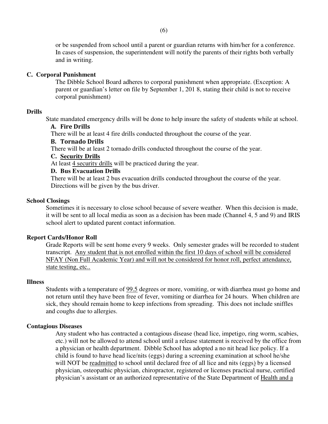or be suspended from school until a parent or guardian returns with him/her for a conference. In cases of suspension, the superintendent will notify the parents of their rights both verbally and in writing.

## **C. Corporal Punishment**

The Dibble School Board adheres to corporal punishment when appropriate. (Exception: A parent or guardian's letter on file by September 1, 201 8, stating their child is not to receive corporal punishment)

## **Drills**

State mandated emergency drills will be done to help insure the safety of students while at school.

# **A. Fire Drills**

There will be at least 4 fire drills conducted throughout the course of the year.

# **B. Tornado Drills**

There will be at least 2 tornado drills conducted throughout the course of the year.

# **C. Security Drills**

At least 4 security drills will be practiced during the year.

## **D. Bus Evacuation Drills**

There will be at least 2 bus evacuation drills conducted throughout the course of the year. Directions will be given by the bus driver.

## **School Closings**

Sometimes it is necessary to close school because of severe weather. When this decision is made, it will be sent to all local media as soon as a decision has been made (Channel 4, 5 and 9) and IRIS school alert to updated parent contact information.

## **Report Cards/Honor Roll**

Grade Reports will be sent home every 9 weeks. Only semester grades will be recorded to student transcript. Any student that is not enrolled within the first 10 days of school will be considered NFAY (Non Full Academic Year) and will not be considered for honor roll, perfect attendance, state testing, etc..

## **Illness**

Students with a temperature of 99.5 degrees or more, vomiting, or with diarrhea must go home and not return until they have been free of fever, vomiting or diarrhea for 24 hours. When children are sick, they should remain home to keep infections from spreading. This does not include sniffles and coughs due to allergies.

## **Contagious Diseases**

Any student who has contracted a contagious disease (head lice, impetigo, ring worm, scabies, etc.) will not be allowed to attend school until a release statement is received by the office from a physician or health department. Dibble School has adopted a no nit head lice policy. If a child is found to have head lice/nits (eggs) during a screening examination at school he/she will NOT be readmitted to school until declared free of all lice and nits (eggs) by a licensed physician, osteopathic physician, chiropractor, registered or licenses practical nurse, certified physician's assistant or an authorized representative of the State Department of Health and a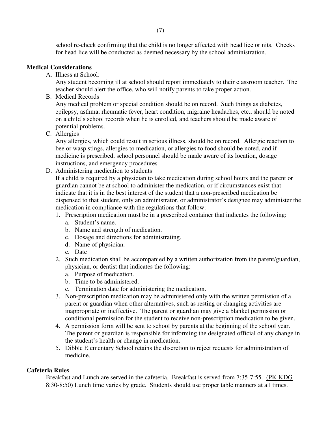school re-check confirming that the child is no longer affected with head lice or nits. Checks for head lice will be conducted as deemed necessary by the school administration.

# **Medical Considerations**

A. Illness at School:

Any student becoming ill at school should report immediately to their classroom teacher. The teacher should alert the office, who will notify parents to take proper action.

B. Medical Records

Any medical problem or special condition should be on record. Such things as diabetes, epilepsy, asthma, rheumatic fever, heart condition, migraine headaches, etc., should be noted on a child's school records when he is enrolled, and teachers should be made aware of potential problems.

C. Allergies

Any allergies, which could result in serious illness, should be on record. Allergic reaction to bee or wasp stings, allergies to medication, or allergies to food should be noted, and if medicine is prescribed, school personnel should be made aware of its location, dosage instructions, and emergency procedures

D. Administering medication to students

If a child is required by a physician to take medication during school hours and the parent or guardian cannot be at school to administer the medication, or if circumstances exist that indicate that it is in the best interest of the student that a non-prescribed medication be dispensed to that student, only an administrator, or administrator's designee may administer the medication in compliance with the regulations that follow:

- 1. Prescription medication must be in a prescribed container that indicates the following:
	- a. Student's name.
	- b. Name and strength of medication.
	- c. Dosage and directions for administrating.
	- d. Name of physician.
	- e. Date
- 2. Such medication shall be accompanied by a written authorization from the parent/guardian, physician, or dentist that indicates the following:
	- a. Purpose of medication.
	- b. Time to be administered.
	- c. Termination date for administering the medication.
- 3. Non-prescription medication may be administered only with the written permission of a parent or guardian when other alternatives, such as resting or changing activities are inappropriate or ineffective. The parent or guardian may give a blanket permission or conditional permission for the student to receive non-prescription medication to be given.
- 4. A permission form will be sent to school by parents at the beginning of the school year. The parent or guardian is responsible for informing the designated official of any change in the student's health or change in medication.
- 5. Dibble Elementary School retains the discretion to reject requests for administration of medicine.

## **Cafeteria Rules**

Breakfast and Lunch are served in the cafeteria. Breakfast is served from 7:35-7:55. (PK-KDG 8:30-8:50) Lunch time varies by grade. Students should use proper table manners at all times.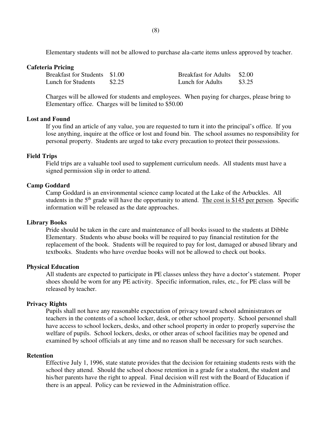(8)

Elementary students will not be allowed to purchase ala-carte items unless approved by teacher.

#### **Cafeteria Pricing**

| Breakfast for Students \$1.00 |        | <b>Breakfast for Adults</b> \$2.00 |        |
|-------------------------------|--------|------------------------------------|--------|
| Lunch for Students            | \$2.25 | Lunch for Adults                   | \$3.25 |

Charges will be allowed for students and employees. When paying for charges, please bring to Elementary office. Charges will be limited to \$50.00

## **Lost and Found**

If you find an article of any value, you are requested to turn it into the principal's office. If you lose anything, inquire at the office or lost and found bin. The school assumes no responsibility for personal property. Students are urged to take every precaution to protect their possessions.

## **Field Trips**

Field trips are a valuable tool used to supplement curriculum needs. All students must have a signed permission slip in order to attend.

## **Camp Goddard**

Camp Goddard is an environmental science camp located at the Lake of the Arbuckles. All students in the  $5<sup>th</sup>$  grade will have the opportunity to attend. The cost is \$145 per person. Specific information will be released as the date approaches.

## **Library Books**

Pride should be taken in the care and maintenance of all books issued to the students at Dibble Elementary. Students who abuse books will be required to pay financial restitution for the replacement of the book. Students will be required to pay for lost, damaged or abused library and textbooks. Students who have overdue books will not be allowed to check out books.

## **Physical Education**

All students are expected to participate in PE classes unless they have a doctor's statement. Proper shoes should be worn for any PE activity. Specific information, rules, etc., for PE class will be released by teacher.

## **Privacy Rights**

Pupils shall not have any reasonable expectation of privacy toward school administrators or teachers in the contents of a school locker, desk, or other school property. School personnel shall have access to school lockers, desks, and other school property in order to properly supervise the welfare of pupils. School lockers, desks, or other areas of school facilities may be opened and examined by school officials at any time and no reason shall be necessary for such searches.

## **Retention**

Effective July 1, 1996, state statute provides that the decision for retaining students rests with the school they attend. Should the school choose retention in a grade for a student, the student and his/her parents have the right to appeal. Final decision will rest with the Board of Education if there is an appeal. Policy can be reviewed in the Administration office.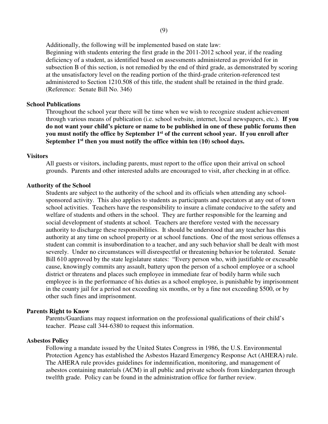Additionally, the following will be implemented based on state law:

Beginning with students entering the first grade in the 2011-2012 school year, if the reading deficiency of a student, as identified based on assessments administered as provided for in subsection B of this section, is not remedied by the end of third grade, as demonstrated by scoring at the unsatisfactory level on the reading portion of the third-grade criterion-referenced test administered to Section 1210.508 of this title, the student shall be retained in the third grade. (Reference: Senate Bill No. 346)

## **School Publications**

Throughout the school year there will be time when we wish to recognize student achievement through various means of publication (i.e. school website, internet, local newspapers, etc.). **If you do not want your child's picture or name to be published in one of these public forums then you must notify the office by September 1st of the current school year. If you enroll after September 1st then you must notify the office within ten (10) school days.** 

#### **Visitors**

 All guests or visitors, including parents, must report to the office upon their arrival on school grounds. Parents and other interested adults are encouraged to visit, after checking in at office.

## **Authority of the School**

Students are subject to the authority of the school and its officials when attending any schoolsponsored activity. This also applies to students as participants and spectators at any out of town school activities. Teachers have the responsibility to insure a climate conducive to the safety and welfare of students and others in the school. They are further responsible for the learning and social development of students at school. Teachers are therefore vested with the necessary authority to discharge these responsibilities. It should be understood that any teacher has this authority at any time on school property or at school functions. One of the most serious offenses a student can commit is insubordination to a teacher, and any such behavior shall be dealt with most severely. Under no circumstances will disrespectful or threatening behavior be tolerated. Senate Bill 610 approved by the state legislature states: "Every person who, with justifiable or excusable cause, knowingly commits any assault, battery upon the person of a school employee or a school district or threatens and places such employee in immediate fear of bodily harm while such employee is in the performance of his duties as a school employee, is punishable by imprisonment in the county jail for a period not exceeding six months, or by a fine not exceeding \$500, or by other such fines and imprisonment.

#### **Parents Right to Know**

Parents/Guardians may request information on the professional qualifications of their child's teacher. Please call 344-6380 to request this information.

#### **Asbestos Policy**

Following a mandate issued by the United States Congress in 1986, the U.S. Environmental Protection Agency has established the Asbestos Hazard Emergency Response Act (AHERA) rule. The AHERA rule provides guidelines for indemnification, monitoring, and management of asbestos containing materials (ACM) in all public and private schools from kindergarten through twelfth grade. Policy can be found in the administration office for further review.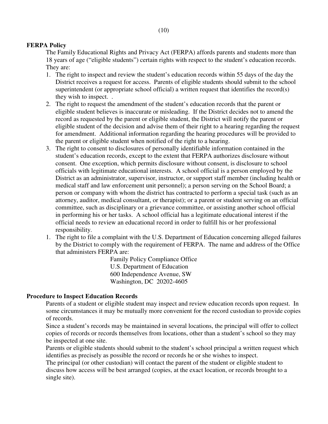# **FERPA Policy**

The Family Educational Rights and Privacy Act (FERPA) affords parents and students more than 18 years of age ("eligible students") certain rights with respect to the student's education records. They are:

- 1. The right to inspect and review the student's education records within 55 days of the day the District receives a request for access. Parents of eligible students should submit to the school superintendent (or appropriate school official) a written request that identifies the record(s) they wish to inspect. .
- 2. The right to request the amendment of the student's education records that the parent or eligible student believes is inaccurate or misleading. If the District decides not to amend the record as requested by the parent or eligible student, the District will notify the parent or eligible student of the decision and advise them of their right to a hearing regarding the request for amendment. Additional information regarding the hearing procedures will be provided to the parent or eligible student when notified of the right to a hearing.
- 3. The right to consent to disclosures of personally identifiable information contained in the student's education records, except to the extent that FERPA authorizes disclosure without consent. One exception, which permits disclosure without consent, is disclosure to school officials with legitimate educational interests. A school official is a person employed by the District as an administrator, supervisor, instructor, or support staff member (including health or medical staff and law enforcement unit personnel); a person serving on the School Board; a person or company with whom the district has contracted to perform a special task (such as an attorney, auditor, medical consultant, or therapist); or a parent or student serving on an official committee, such as disciplinary or a grievance committee, or assisting another school official in performing his or her tasks. A school official has a legitimate educational interest if the official needs to review an educational record in order to fulfill his or her professional responsibility.
- 1. The right to file a complaint with the U.S. Department of Education concerning alleged failures by the District to comply with the requirement of FERPA. The name and address of the Office that administers FERPA are:

 Family Policy Compliance Office U.S. Department of Education 600 Independence Avenue, SW Washington, DC 20202-4605

# **Procedure to Inspect Education Records**

Parents of a student or eligible student may inspect and review education records upon request. In some circumstances it may be mutually more convenient for the record custodian to provide copies of records.

 Since a student's records may be maintained in several locations, the principal will offer to collect copies of records or records themselves from locations, other than a student's school so they may be inspected at one site.

 Parents or eligible students should submit to the student's school principal a written request which identifies as precisely as possible the record or records he or she wishes to inspect.

 The principal (or other custodian) will contact the parent of the student or eligible student to discuss how access will be best arranged (copies, at the exact location, or records brought to a single site).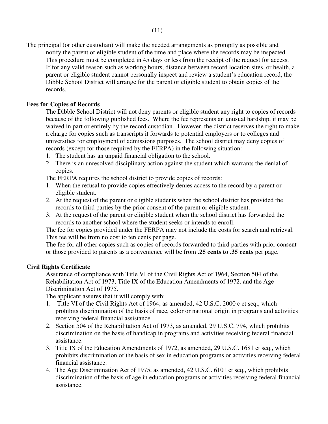The principal (or other custodian) will make the needed arrangements as promptly as possible and notify the parent or eligible student of the time and place where the records may be inspected. This procedure must be completed in 45 days or less from the receipt of the request for access. If for any valid reason such as working hours, distance between record location sites, or health, a parent or eligible student cannot personally inspect and review a student's education record, the Dibble School District will arrange for the parent or eligible student to obtain copies of the records.

# **Fees for Copies of Records**

The Dibble School District will not deny parents or eligible student any right to copies of records because of the following published fees. Where the fee represents an unusual hardship, it may be waived in part or entirely by the record custodian. However, the district reserves the right to make a charge for copies such as transcripts it forwards to potential employers or to colleges and universities for employment of admissions purposes. The school district may deny copies of records (except for those required by the FERPA) in the following situation:

- 1. The student has an unpaid financial obligation to the school.
- 2. There is an unresolved disciplinary action against the student which warrants the denial of copies.

The FERPA requires the school district to provide copies of records:

- 1. When the refusal to provide copies effectively denies access to the record by a parent or eligible student.
- 2. At the request of the parent or eligible students when the school district has provided the records to third parties by the prior consent of the parent or eligible student.
- 3. At the request of the parent or eligible student when the school district has forwarded the records to another school where the student seeks or intends to enroll.

 The fee for copies provided under the FERPA may not include the costs for search and retrieval. This fee will be from no cost to ten cents per page.

 The fee for all other copies such as copies of records forwarded to third parties with prior consent or those provided to parents as a convenience will be from **.25 cents to .35 cents** per page.

# **Civil Rights Certificate**

 Assurance of compliance with Title VI of the Civil Rights Act of 1964, Section 504 of the Rehabilitation Act of 1973, Title IX of the Education Amendments of 1972, and the Age Discrimination Act of 1975.

The applicant assures that it will comply with:

- 1. Title VI of the Civil Rights Act of 1964, as amended, 42 U.S.C. 2000 c et seq., which prohibits discrimination of the basis of race, color or national origin in programs and activities receiving federal financial assistance.
- 2. Section 504 of the Rehabilitation Act of 1973, as amended, 29 U.S.C. 794, which prohibits discrimination on the basis of handicap in programs and activities receiving federal financial assistance.
- 3. Title IX of the Education Amendments of 1972, as amended, 29 U.S.C. 1681 et seq., which prohibits discrimination of the basis of sex in education programs or activities receiving federal financial assistance.
- 4. The Age Discrimination Act of 1975, as amended, 42 U.S.C. 6101 et seq., which prohibits discrimination of the basis of age in education programs or activities receiving federal financial assistance.